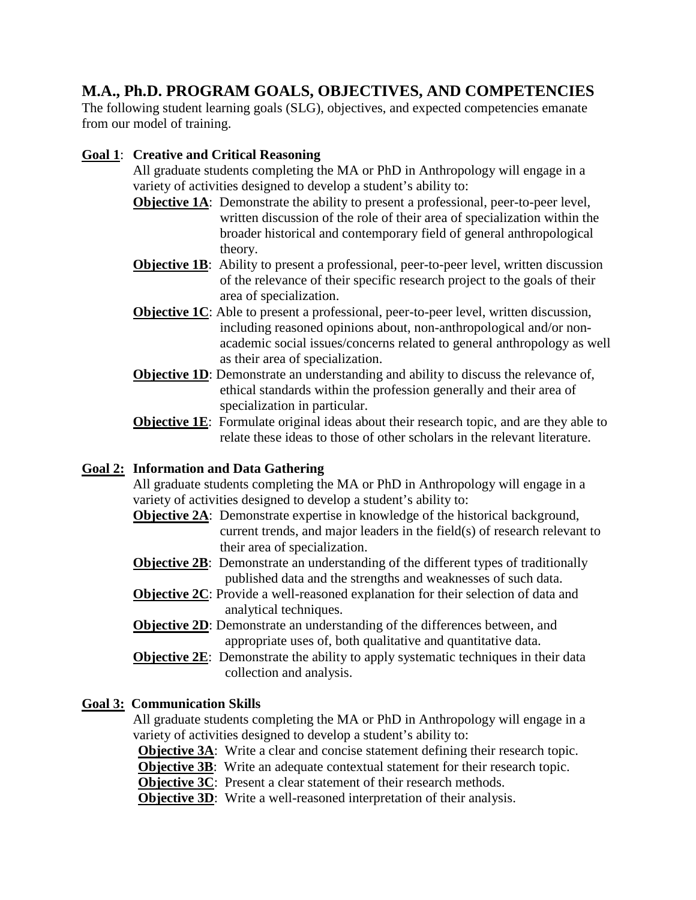# **M.A., Ph.D. PROGRAM GOALS, OBJECTIVES, AND COMPETENCIES**

The following student learning goals (SLG), objectives, and expected competencies emanate from our model of training.

# **Goal 1**: **Creative and Critical Reasoning**

All graduate students completing the MA or PhD in Anthropology will engage in a variety of activities designed to develop a student's ability to:

- **Objective 1A:** Demonstrate the ability to present a professional, peer-to-peer level, written discussion of the role of their area of specialization within the broader historical and contemporary field of general anthropological theory.
- **Objective 1B:** Ability to present a professional, peer-to-peer level, written discussion of the relevance of their specific research project to the goals of their area of specialization.
- **Objective 1C**: Able to present a professional, peer-to-peer level, written discussion, including reasoned opinions about, non-anthropological and/or nonacademic social issues/concerns related to general anthropology as well as their area of specialization.
- **Objective 1D**: Demonstrate an understanding and ability to discuss the relevance of, ethical standards within the profession generally and their area of specialization in particular.
- **Objective 1E:** Formulate original ideas about their research topic, and are they able to relate these ideas to those of other scholars in the relevant literature.

# **Goal 2: Information and Data Gathering**

All graduate students completing the MA or PhD in Anthropology will engage in a variety of activities designed to develop a student's ability to:

- **Objective 2A:** Demonstrate expertise in knowledge of the historical background, current trends, and major leaders in the field(s) of research relevant to their area of specialization.
- **Objective 2B:** Demonstrate an understanding of the different types of traditionally published data and the strengths and weaknesses of such data.
- **Objective 2C**: Provide a well-reasoned explanation for their selection of data and analytical techniques.
- **Objective 2D:** Demonstrate an understanding of the differences between, and appropriate uses of, both qualitative and quantitative data.
- **Objective 2E**: Demonstrate the ability to apply systematic techniques in their data collection and analysis.

# **Goal 3: Communication Skills**

All graduate students completing the MA or PhD in Anthropology will engage in a variety of activities designed to develop a student's ability to:

**Objective 3A:** Write a clear and concise statement defining their research topic.

**Objective 3B:** Write an adequate contextual statement for their research topic.

**Objective 3C**: Present a clear statement of their research methods.

**Objective 3D:** Write a well-reasoned interpretation of their analysis.